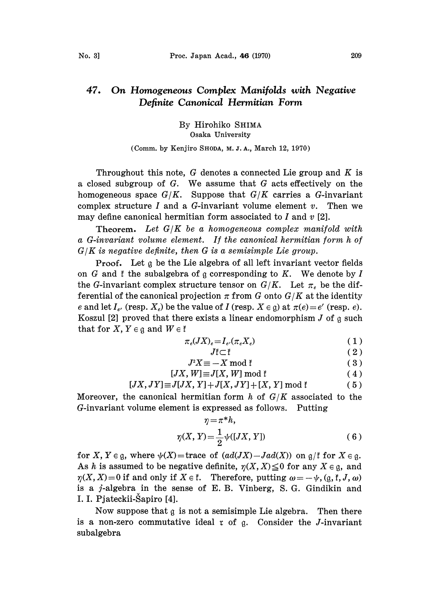## 47. On Homogeneous Complex Manifolds with Negative Definite Canonical Hermitian Form

By Hirohiko SHIMA Osaka University

(Comm. by Kenjiro SHODA, M. J. A., March 12, 1970)

Throughout this note, G denotes a connected Lie group and  $K$  is <sup>a</sup> closed subgroup of G. We assume that G acts effectively on the homogeneous space  $G/K$ . Suppose that  $G/K$  carries a G-invariant complex structure I and a G-invariant volume element  $v$ . Then we may define canonical hermitian form associated to  $I$  and  $v$  [2].

**Theorem.** Let  $G/K$  be a homogeneous complex manifold with a G-invariant volume element. If the canonical hermitian form h of  $G/K$  is negative definite, then  $G$  is a semisimple Lie group.

Proof. Let a be the Lie algebra of all left invariant vector fields on G and  $f$  the subalgebra of  $g$  corresponding to K. We denote by I the G-invariant complex structure tensor on  $G/K$ . Let  $\pi_e$  be the differential of the canonical projection  $\pi$  from G onto  $G/K$  at the identity e and let  $I_e$ , (resp.  $X_e$ ) be the value of I (resp.  $X \in \mathfrak{g}$ ) at  $\pi(e) = e'$  (resp. e). Koszul [2] proved that there exists a linear endomorphism  $J$  of  $\mathfrak g$  such that for X,  $Y \in \mathfrak{g}$  and  $W \in \mathfrak{k}$ 

$$
\pi_e(JX)_e = I_e(\pi_e X_e)
$$
\n
$$
J\tilde{\tau} \subset \tilde{\tau}
$$
\n
$$
T^2Y = Y \mod \tilde{\tau}
$$
\n(2)

$$
JI \subset I \tag{2}
$$

$$
I^2Y = Y \mod Y \tag{2}
$$

$$
J \Delta \equiv -\Delta \text{ mod } 1 \tag{9}
$$
  
IV III = IV III mod\*

$$
[JX, W] \equiv J[X, W] \bmod \mathfrak{k}
$$
 (4)

$$
[JX, JY] \equiv J[JX, Y] + J[X, JY] + [X, Y] \bmod \mathfrak{k}
$$
 (5)

Moreover, the canonical hermitian form  $h$  of  $G/K$  associated to the G-invariant volume element is expressed as follows. Putting

$$
\eta = \pi^* h,
$$
  

$$
\eta(X, Y) = \frac{1}{2} \psi([JX, Y])
$$
 (6)

for X,  $Y \in \mathfrak{g}$ , where  $\psi(X)$ = trace of  $(ad(JX)-Jad(X))$  on  $\mathfrak{g}/\mathfrak{k}$  for  $X \in \mathfrak{g}$ . As h is assumed to be negative definite,  $\eta(X, X) \leq 0$  for any  $X \in \mathfrak{g}$ , and  $\eta(X, X) = 0$  if and only if  $X \in \mathfrak{k}$ . Therefore, putting  $\omega = -\psi$ ,  $(\mathfrak{g}, \mathfrak{k}, J, \omega)$ is a j-algebra in the sense of E. B. Vinberg, S.G. Gindikin and I. I. Pjateckii-Šapiro [4].

Now suppose that  $g$  is not a semisimple Lie algebra. Then there is a non-zero commutative ideal  $r$  of  $g$ . Consider the *J*-invariant subalgebra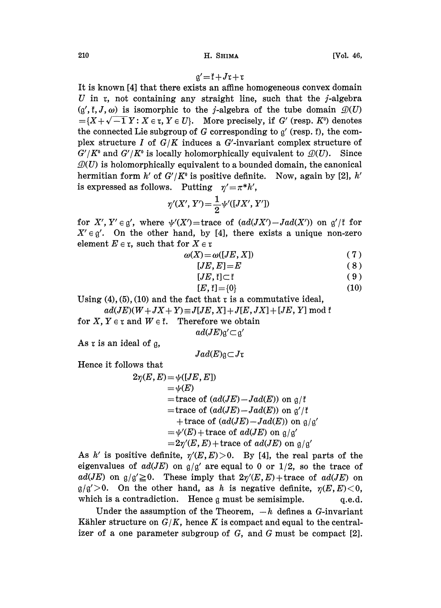$$
g' = f + Jx + x
$$

It is known [4] that there exists an affine homogeneous convex domain U in  $r$ , not containing any straight line, such that the  $j$ -algebra  $(g', \mathfrak{k}, J, \omega)$  is isomorphic to the j-algebra of the tube domain  $\mathcal{D}(U)$  $=\{X+\sqrt{-1} Y: X \in \mathfrak{r}, Y \in U\}.$  More precisely, if G' (resp. K°) denotes the connected Lie subgroup of  $G$  corresponding to  $g'$  (resp. f), the complex structure I of  $G/K$  induces a  $G'$ -invariant complex structure of  $G'/K^0$  and  $G'/K^0$  is locally holomorphically equivalent to  $\mathcal{D}(U)$ . Since  $\mathcal{D}(U)$  is holomorphically equivalent to a bounded domain, the canonical hermitian form h' of  $G'/K^0$  is positive definite. Now, again by [2], h' is expressed as follows. Putting  $\eta'=\pi^*h'$ ,

$$
\eta'(X', Y') = \frac{1}{2} \psi'([JX', Y'])
$$

for X', Y'  $\in$  g', where  $\psi'(X')$ =trace of  $(ad(JX')-Jad(X'))$  on g'/ f for  $X' \in \mathfrak{g}'$ . On the other hand, by [4], there exists a unique non-zero element  $E \in \mathfrak{r}$ , such that for  $X \in \mathfrak{r}$ 

$$
\omega(X) = \omega([JE, X]) \tag{7}
$$

$$
[JE, E] = E \tag{8}
$$

$$
[JE, \mathfrak{k}] \subset \mathfrak{k} \tag{9}
$$

$$
[E, \mathfrak{k}] = \{0\} \tag{10}
$$

Using  $(4)$ ,  $(5)$ ,  $(10)$  and the fact that r is a commutative ideal,

 $ad(JE)(W+JX+Y) \equiv J[JE, X]+J[E, JX]+[JE, Y] \bmod \mathfrak{k}$ 

for X,  $Y \in \mathfrak{r}$  and  $W \in \mathfrak{k}$ . Therefore we obtain  $ad(JE)$ g' $\subset$ g'

As  $r$  is an ideal of  $q$ ,

$$
Jad(E) \mathfrak{g} \subset J\mathfrak{r}
$$

Hence it follows that

 $2\eta(E, E) = \psi([JE, E])$  $=\psi(E)$ = trace of  $(ad(JE) - Jad(E))$  on  $\alpha/\ell$ =trace of  $(ad(JE)-Jad(E))$  on g'/ $\mathfrak f$ + trace of  $(ad(JE)-Jad(E))$  on  $\mathfrak{g}/\mathfrak{g}'$  $=\psi'(E) + \text{trace of } ad(JE)$  on  $\mathfrak{g}/\mathfrak{g}'$  $=2\eta'(E,E)+\text{trace of } ad(JE) \text{ on } \mathfrak{g}/\mathfrak{g}'$ 

As h' is positive definite,  $\eta'(E,E) > 0$ . By [4], the real parts of the eigenvalues of  $ad(JE)$  on  $g/g'$  are equal to 0 or 1/2, so the trace of  $ad(JE)$  on  $g/g' \ge 0$ . These imply that  $2\eta'(E, E) + \text{trace of } ad(JE)$  on  $g/g' > 0$ . On the other hand, as h is negative definite,  $\eta(E,E) < 0$ , which is a contradiction. Hence  $\alpha$  must be semisimple.  $\alpha$ .e.d.

Under the assumption of the Theorem,  $-h$  defines a G-invariant Kähler structure on  $G/K$ , hence K is compact and equal to the centralizer of a one parameter subgroup of G, and G must be compact [2].